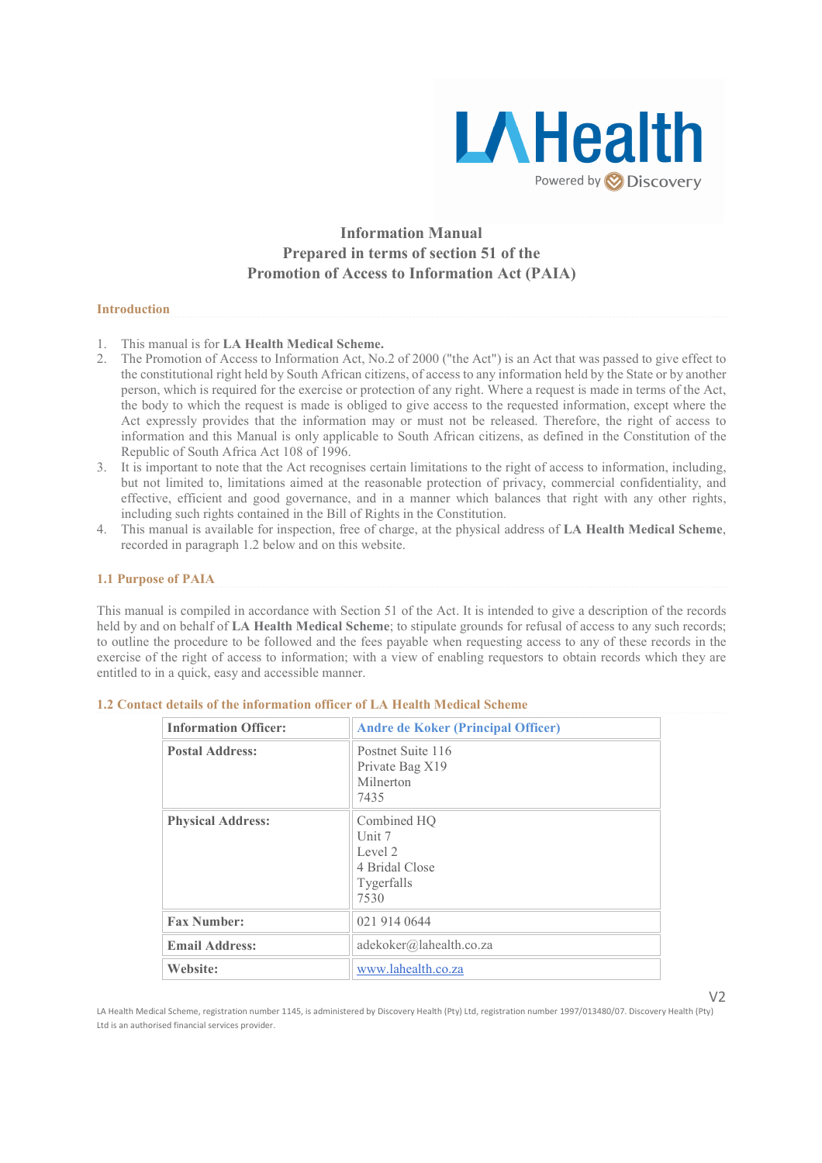

# Information Manual Prepared in terms of section 51 of the Promotion of Access to Information Act (PAIA)

### Introduction

- 1. This manual is for **LA Health Medical Scheme.**<br>2. The Promotion of Access to Information Act No.
- 2. The Promotion of Access to Information Act, No.2 of 2000 ("the Act") is an Act that was passed to give effect to the constitutional right held by South African citizens, of access to any information held by the State or by another person, which is required for the exercise or protection of any right. Where a request is made in terms of the Act, the body to which the request is made is obliged to give access to the requested information, except where the Act expressly provides that the information may or must not be released. Therefore, the right of access to information and this Manual is only applicable to South African citizens, as defined in the Constitution of the Republic of South Africa Act 108 of 1996.
- 3. It is important to note that the Act recognises certain limitations to the right of access to information, including, but not limited to, limitations aimed at the reasonable protection of privacy, commercial confidentiality, and effective, efficient and good governance, and in a manner which balances that right with any other rights, including such rights contained in the Bill of Rights in the Constitution.
- 4. This manual is available for inspection, free of charge, at the physical address of LA Health Medical Scheme, recorded in paragraph 1.2 below and on this website.

### 1.1 Purpose of PAIA

This manual is compiled in accordance with Section 51 of the Act. It is intended to give a description of the records held by and on behalf of LA Health Medical Scheme; to stipulate grounds for refusal of access to any such records; to outline the procedure to be followed and the fees payable when requesting access to any of these records in the exercise of the right of access to information; with a view of enabling requestors to obtain records which they are entitled to in a quick, easy and accessible manner.

| <b>Information Officer:</b> | <b>Andre de Koker (Principal Officer)</b>                                  |
|-----------------------------|----------------------------------------------------------------------------|
| <b>Postal Address:</b>      | Postnet Suite 116<br>Private Bag X19<br>Milnerton<br>7435                  |
| <b>Physical Address:</b>    | Combined HO<br>Unit $7$<br>Level 2<br>4 Bridal Close<br>Tygerfalls<br>7530 |
| <b>Fax Number:</b>          | 021 914 0644                                                               |
| <b>Email Address:</b>       | adekoker@lahealth.co.za                                                    |
| Website:                    | www.lahealth.co.za                                                         |

# 1.2 Contact details of the information officer of LA Health Medical Scheme

 $V<sub>2</sub>$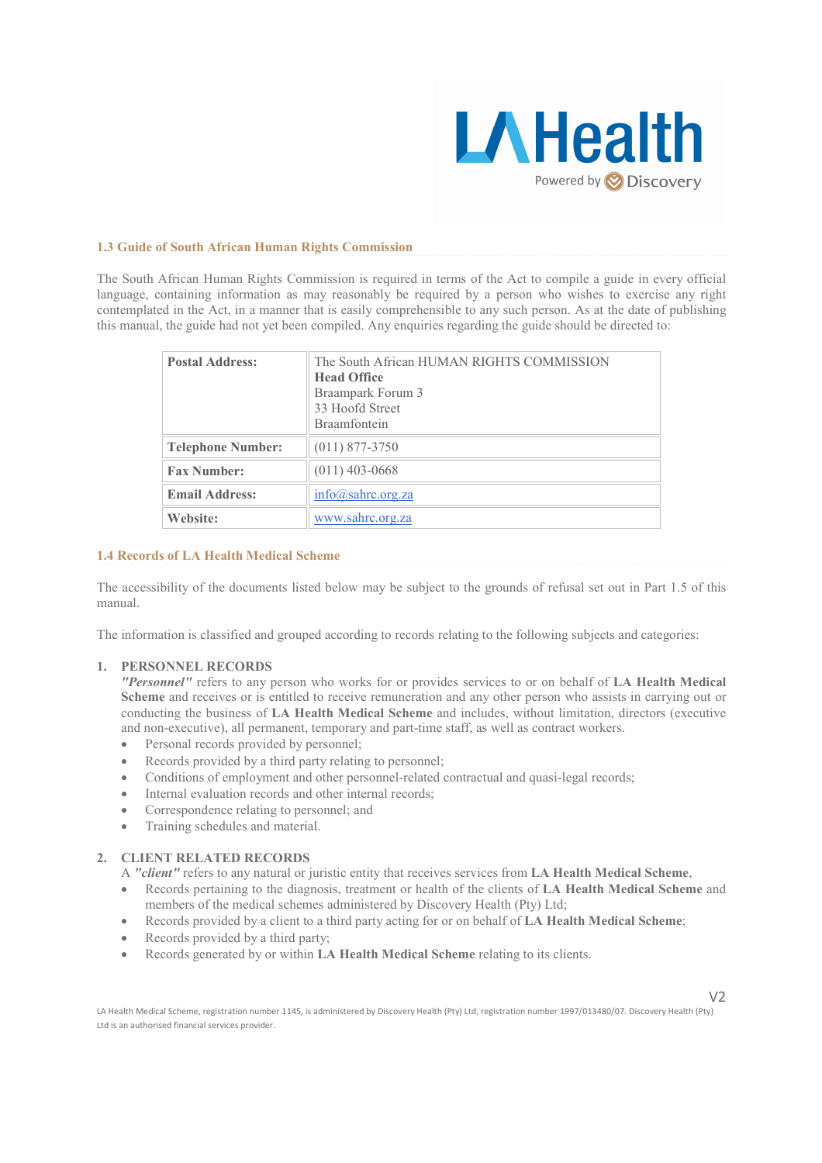

### 1.3 Guide of South African Human Rights Commission

The South African Human Rights Commission is required in terms of the Act to compile a guide in every official language, containing information as may reasonably be required by a person who wishes to exercise any right contemplated in the Act, in a manner that is easily comprehensible to any such person. As at the date of publishing this manual, the guide had not yet been compiled. Any enquiries regarding the guide should be directed to:

| The South African HUMAN RIGHTS COMMISSION<br><b>Head Office</b><br>Braampark Forum 3<br>33 Hoofd Street<br><b>Braamfontein</b> |
|--------------------------------------------------------------------------------------------------------------------------------|
| $(011)$ 877-3750                                                                                                               |
| $(011)$ 403-0668                                                                                                               |
| info@sahrc.org.za                                                                                                              |
| www.sahrc.org.za                                                                                                               |
|                                                                                                                                |

#### 1.4 Records of LA Health Medical Scheme

The accessibility of the documents listed below may be subject to the grounds of refusal set out in Part 1.5 of this manual.

The information is classified and grouped according to records relating to the following subjects and categories:

### 1. PERSONNEL RECORDS

"Personnel" refers to any person who works for or provides services to or on behalf of LA Health Medical Scheme and receives or is entitled to receive remuneration and any other person who assists in carrying out or conducting the business of LA Health Medical Scheme and includes, without limitation, directors (executive and non-executive), all permanent, temporary and part-time staff, as well as contract workers.

- Personal records provided by personnel;
- Records provided by a third party relating to personnel;
- Conditions of employment and other personnel-related contractual and quasi-legal records;
- Internal evaluation records and other internal records;
- Correspondence relating to personnel; and
- Training schedules and material.

# 2. CLIENT RELATED RECORDS

A "client" refers to any natural or juristic entity that receives services from LA Health Medical Scheme.

- Records pertaining to the diagnosis, treatment or health of the clients of LA Health Medical Scheme and members of the medical schemes administered by Discovery Health (Pty) Ltd;
- Records provided by a client to a third party acting for or on behalf of LA Health Medical Scheme;
- Records provided by a third party;
- Records generated by or within LA Health Medical Scheme relating to its clients.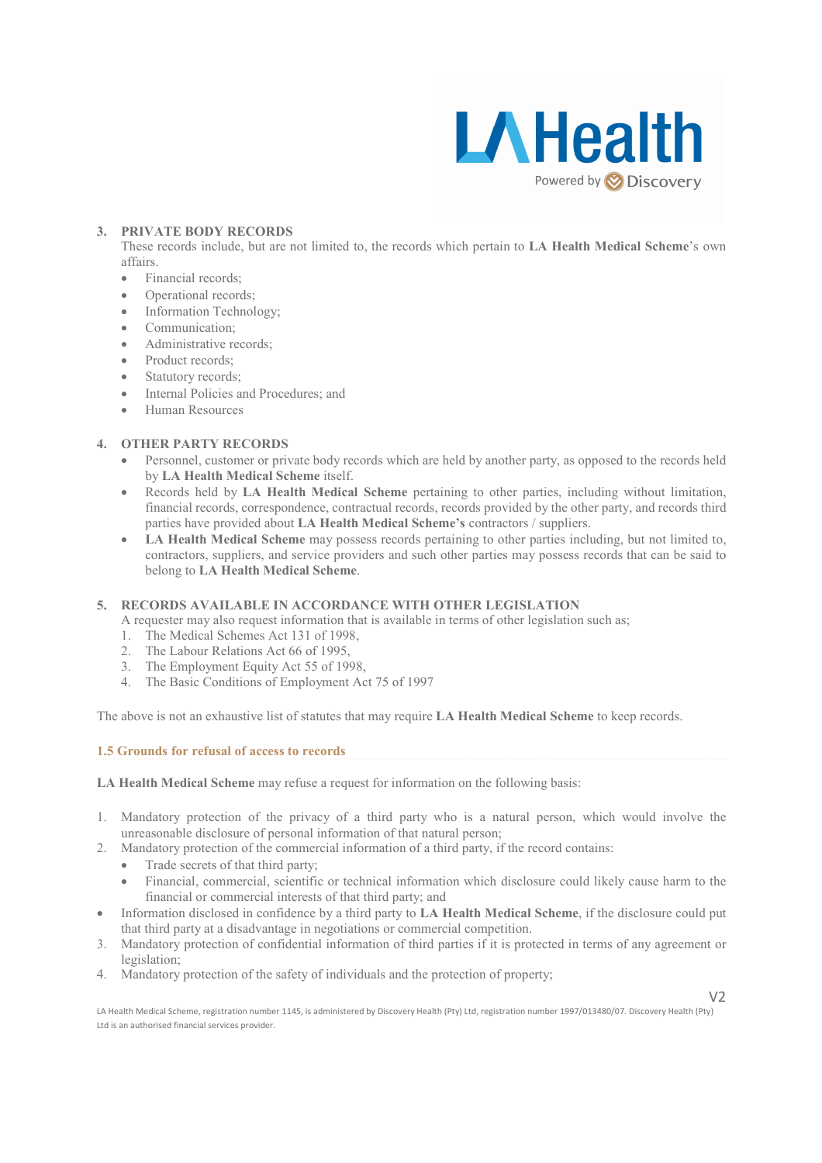

### 3. PRIVATE BODY RECORDS

These records include, but are not limited to, the records which pertain to LA Health Medical Scheme's own affairs.

- Financial records;
- Operational records;
- Information Technology;
- Communication:
- Administrative records;
- Product records:
- Statutory records;
- Internal Policies and Procedures; and
- Human Resources

# 4. OTHER PARTY RECORDS

- Personnel, customer or private body records which are held by another party, as opposed to the records held by LA Health Medical Scheme itself.
- Records held by LA Health Medical Scheme pertaining to other parties, including without limitation, financial records, correspondence, contractual records, records provided by the other party, and records third parties have provided about LA Health Medical Scheme's contractors / suppliers.
- LA Health Medical Scheme may possess records pertaining to other parties including, but not limited to, contractors, suppliers, and service providers and such other parties may possess records that can be said to belong to LA Health Medical Scheme.

# 5. RECORDS AVAILABLE IN ACCORDANCE WITH OTHER LEGISLATION

- A requester may also request information that is available in terms of other legislation such as;
- 1. The Medical Schemes Act 131 of 1998,
- 2. The Labour Relations Act 66 of 1995,
- 3. The Employment Equity Act 55 of 1998,
- 4. The Basic Conditions of Employment Act 75 of 1997

The above is not an exhaustive list of statutes that may require LA Health Medical Scheme to keep records.

1.5 Grounds for refusal of access to records

LA Health Medical Scheme may refuse a request for information on the following basis:

- 1. Mandatory protection of the privacy of a third party who is a natural person, which would involve the unreasonable disclosure of personal information of that natural person;
- 2. Mandatory protection of the commercial information of a third party, if the record contains:
	- Trade secrets of that third party:
		- Financial, commercial, scientific or technical information which disclosure could likely cause harm to the financial or commercial interests of that third party; and
- Information disclosed in confidence by a third party to LA Health Medical Scheme, if the disclosure could put that third party at a disadvantage in negotiations or commercial competition.
- 3. Mandatory protection of confidential information of third parties if it is protected in terms of any agreement or legislation;
- 4. Mandatory protection of the safety of individuals and the protection of property;

 $V<sub>2</sub>$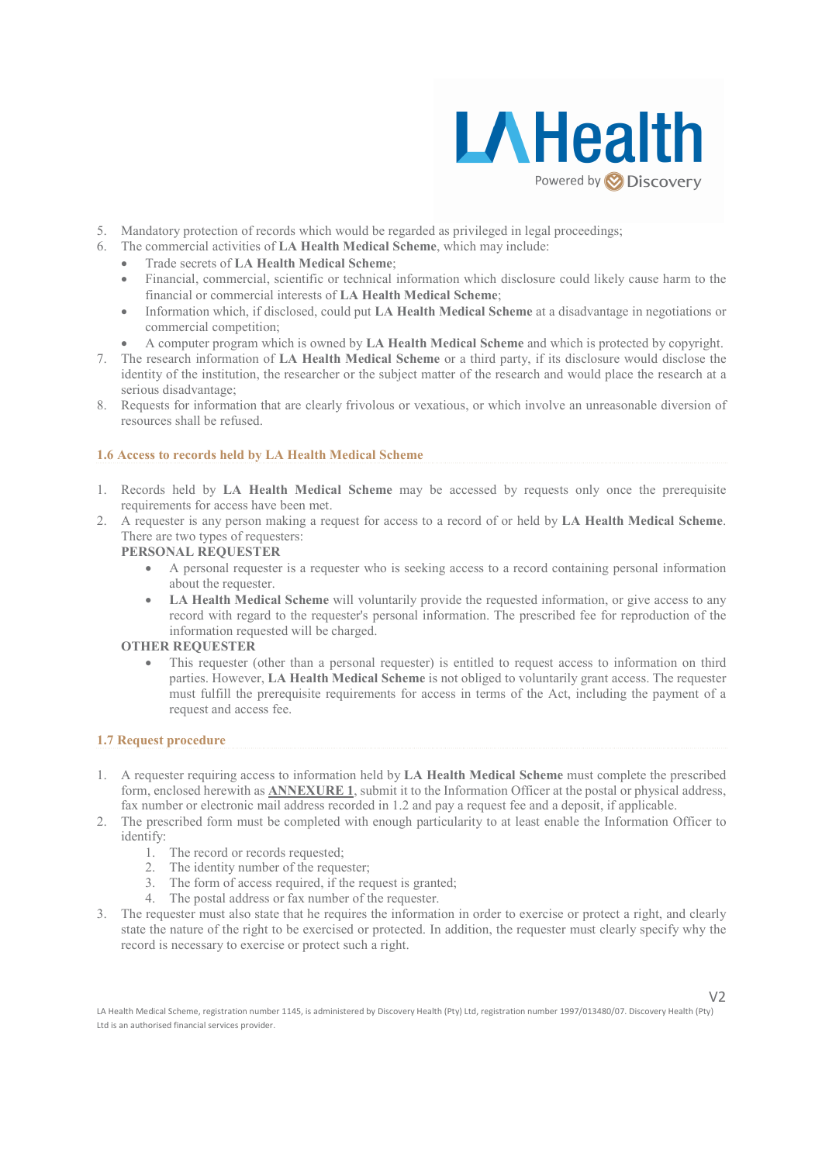

 $V<sub>2</sub>$ 

- 5. Mandatory protection of records which would be regarded as privileged in legal proceedings;
- 6. The commercial activities of LA Health Medical Scheme, which may include:
	- Trade secrets of LA Health Medical Scheme;
	- Financial, commercial, scientific or technical information which disclosure could likely cause harm to the financial or commercial interests of LA Health Medical Scheme;
	- Information which, if disclosed, could put LA Health Medical Scheme at a disadvantage in negotiations or commercial competition;
		- A computer program which is owned by LA Health Medical Scheme and which is protected by copyright.
- 7. The research information of LA Health Medical Scheme or a third party, if its disclosure would disclose the identity of the institution, the researcher or the subject matter of the research and would place the research at a serious disadvantage;
- 8. Requests for information that are clearly frivolous or vexatious, or which involve an unreasonable diversion of resources shall be refused.

# 1.6 Access to records held by LA Health Medical Scheme

- 1. Records held by LA Health Medical Scheme may be accessed by requests only once the prerequisite requirements for access have been met.
- 2. A requester is any person making a request for access to a record of or held by LA Health Medical Scheme. There are two types of requesters:

# PERSONAL REQUESTER

- A personal requester is a requester who is seeking access to a record containing personal information about the requester.
- LA Health Medical Scheme will voluntarily provide the requested information, or give access to any record with regard to the requester's personal information. The prescribed fee for reproduction of the information requested will be charged.

# OTHER REQUESTER

This requester (other than a personal requester) is entitled to request access to information on third parties. However, LA Health Medical Scheme is not obliged to voluntarily grant access. The requester must fulfill the prerequisite requirements for access in terms of the Act, including the payment of a request and access fee.

# 1.7 Request procedure

- 1. A requester requiring access to information held by LA Health Medical Scheme must complete the prescribed form, enclosed herewith as ANNEXURE 1, submit it to the Information Officer at the postal or physical address, fax number or electronic mail address recorded in 1.2 and pay a request fee and a deposit, if applicable.
- 2. The prescribed form must be completed with enough particularity to at least enable the Information Officer to identify:
	- 1. The record or records requested;
	- 2. The identity number of the requester;
	- 3. The form of access required, if the request is granted;
	- 4. The postal address or fax number of the requester.
- 3. The requester must also state that he requires the information in order to exercise or protect a right, and clearly state the nature of the right to be exercised or protected. In addition, the requester must clearly specify why the record is necessary to exercise or protect such a right.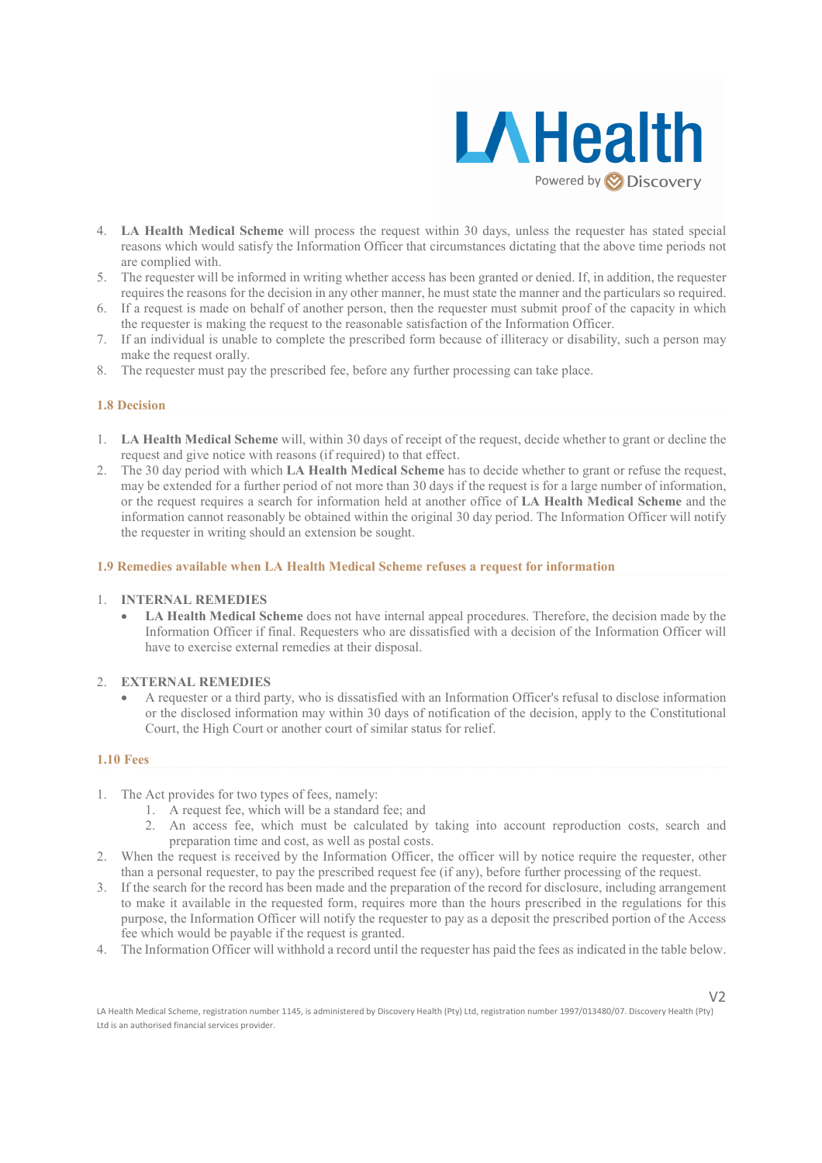

- 4. LA Health Medical Scheme will process the request within 30 days, unless the requester has stated special reasons which would satisfy the Information Officer that circumstances dictating that the above time periods not are complied with.
- 5. The requester will be informed in writing whether access has been granted or denied. If, in addition, the requester requires the reasons for the decision in any other manner, he must state the manner and the particulars so required.
- 6. If a request is made on behalf of another person, then the requester must submit proof of the capacity in which the requester is making the request to the reasonable satisfaction of the Information Officer.
- 7. If an individual is unable to complete the prescribed form because of illiteracy or disability, such a person may make the request orally.
- 8. The requester must pay the prescribed fee, before any further processing can take place.

### 1.8 Decision

- 1. LA Health Medical Scheme will, within 30 days of receipt of the request, decide whether to grant or decline the request and give notice with reasons (if required) to that effect.
- 2. The 30 day period with which LA Health Medical Scheme has to decide whether to grant or refuse the request, may be extended for a further period of not more than 30 days if the request is for a large number of information, or the request requires a search for information held at another office of LA Health Medical Scheme and the information cannot reasonably be obtained within the original 30 day period. The Information Officer will notify the requester in writing should an extension be sought.

### 1.9 Remedies available when LA Health Medical Scheme refuses a request for information

### 1. INTERNAL REMEDIES

LA Health Medical Scheme does not have internal appeal procedures. Therefore, the decision made by the Information Officer if final. Requesters who are dissatisfied with a decision of the Information Officer will have to exercise external remedies at their disposal.

### 2. EXTERNAL REMEDIES

• A requester or a third party, who is dissatisfied with an Information Officer's refusal to disclose information or the disclosed information may within 30 days of notification of the decision, apply to the Constitutional Court, the High Court or another court of similar status for relief.

### 1.10 Fees

- 1. The Act provides for two types of fees, namely:
	- 1. A request fee, which will be a standard fee; and
	- 2. An access fee, which must be calculated by taking into account reproduction costs, search and preparation time and cost, as well as postal costs.
- 2. When the request is received by the Information Officer, the officer will by notice require the requester, other than a personal requester, to pay the prescribed request fee (if any), before further processing of the request.
- 3. If the search for the record has been made and the preparation of the record for disclosure, including arrangement to make it available in the requested form, requires more than the hours prescribed in the regulations for this purpose, the Information Officer will notify the requester to pay as a deposit the prescribed portion of the Access fee which would be payable if the request is granted.
- 4. The Information Officer will withhold a record until the requester has paid the fees as indicated in the table below.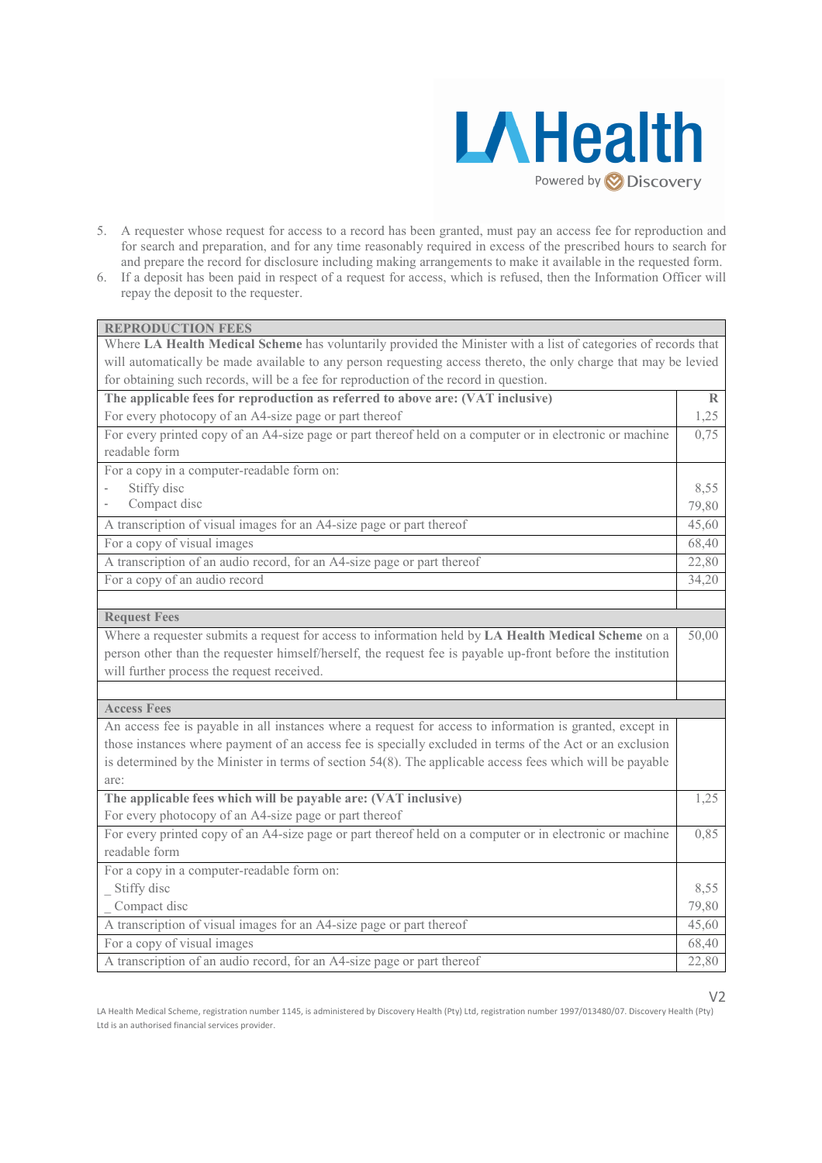

 $V<sub>2</sub>$ 

- 5. A requester whose request for access to a record has been granted, must pay an access fee for reproduction and for search and preparation, and for any time reasonably required in excess of the prescribed hours to search for and prepare the record for disclosure including making arrangements to make it available in the requested form.
- 6. If a deposit has been paid in respect of a request for access, which is refused, then the Information Officer will repay the deposit to the requester.

| <b>REPRODUCTION FEES</b>                                                                                         |               |
|------------------------------------------------------------------------------------------------------------------|---------------|
| Where LA Health Medical Scheme has voluntarily provided the Minister with a list of categories of records that   |               |
| will automatically be made available to any person requesting access thereto, the only charge that may be levied |               |
| for obtaining such records, will be a fee for reproduction of the record in question.                            |               |
| The applicable fees for reproduction as referred to above are: (VAT inclusive)                                   | $\mathbb{R}$  |
| For every photocopy of an A4-size page or part thereof                                                           | 1,25          |
| For every printed copy of an A4-size page or part thereof held on a computer or in electronic or machine         | 0,75          |
| readable form                                                                                                    |               |
| For a copy in a computer-readable form on:                                                                       |               |
| Stiffy disc                                                                                                      | 8,55          |
| Compact disc                                                                                                     | 79,80         |
| A transcription of visual images for an A4-size page or part thereof                                             | 45,60         |
| For a copy of visual images                                                                                      |               |
| A transcription of an audio record, for an A4-size page or part thereof                                          |               |
| For a copy of an audio record                                                                                    | 34,20         |
|                                                                                                                  |               |
| <b>Request Fees</b>                                                                                              |               |
| Where a requester submits a request for access to information held by LA Health Medical Scheme on a              | 50,00         |
| person other than the requester himself/herself, the request fee is payable up-front before the institution      |               |
| will further process the request received.                                                                       |               |
|                                                                                                                  |               |
| <b>Access Fees</b>                                                                                               |               |
| An access fee is payable in all instances where a request for access to information is granted, except in        |               |
| those instances where payment of an access fee is specially excluded in terms of the Act or an exclusion         |               |
| is determined by the Minister in terms of section 54(8). The applicable access fees which will be payable        |               |
| are:                                                                                                             | 1,25          |
| The applicable fees which will be payable are: (VAT inclusive)                                                   |               |
| For every photocopy of an A4-size page or part thereof                                                           |               |
| For every printed copy of an A4-size page or part thereof held on a computer or in electronic or machine         | 0,85          |
| readable form                                                                                                    |               |
| For a copy in a computer-readable form on:                                                                       |               |
| Stiffy disc                                                                                                      | 8,55<br>79,80 |
| Compact disc                                                                                                     |               |
| A transcription of visual images for an A4-size page or part thereof                                             |               |
| For a copy of visual images                                                                                      |               |
| A transcription of an audio record, for an A4-size page or part thereof                                          |               |